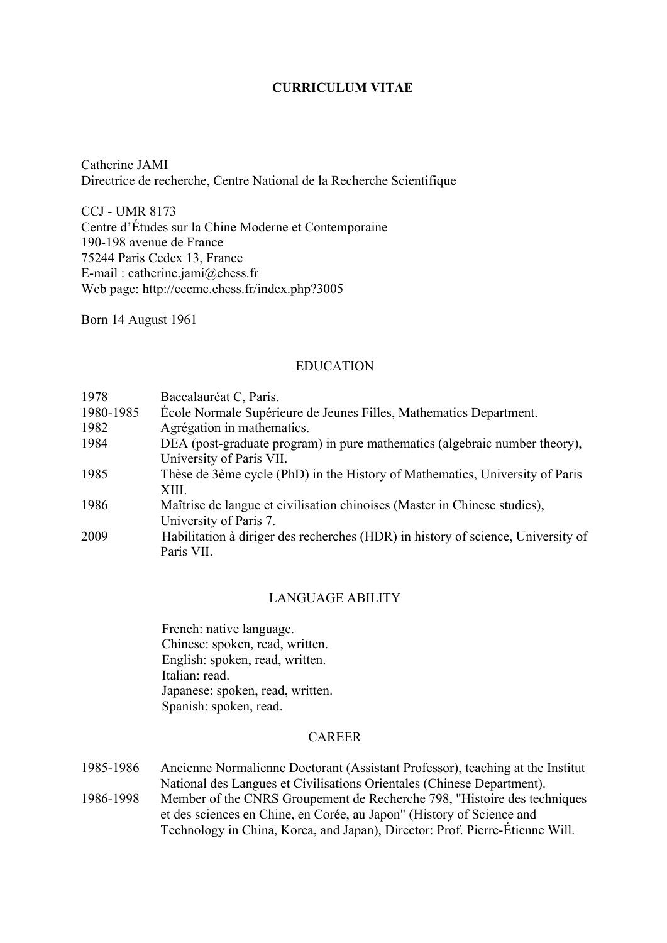#### **CURRICULUM VITAE**

Catherine JAMI Directrice de recherche, Centre National de la Recherche Scientifique

CCJ - UMR 8173 Centre d'Études sur la Chine Moderne et Contemporaine 190-198 avenue de France 75244 Paris Cedex 13, France E-mail : catherine.jami@ehess.fr Web page: http://cecmc.ehess.fr/index.php?3005

Born 14 August 1961

#### EDUCATION

| 1978      | Baccalauréat C, Paris.                                                           |
|-----------|----------------------------------------------------------------------------------|
| 1980-1985 | École Normale Supérieure de Jeunes Filles, Mathematics Department.               |
| 1982      | Agrégation in mathematics.                                                       |
| 1984      | DEA (post-graduate program) in pure mathematics (algebraic number theory),       |
|           | University of Paris VII.                                                         |
| 1985      | Thèse de 3ème cycle (PhD) in the History of Mathematics, University of Paris     |
|           | XIII.                                                                            |
| 1986      | Maîtrise de langue et civilisation chinoises (Master in Chinese studies),        |
|           | University of Paris 7.                                                           |
| 2009      | Habilitation à diriger des recherches (HDR) in history of science, University of |
|           | Paris VII.                                                                       |

#### LANGUAGE ABILITY

French: native language. Chinese: spoken, read, written. English: spoken, read, written. Italian: read. Japanese: spoken, read, written. Spanish: spoken, read.

#### CAREER

| 1985-1986 | Ancienne Normalienne Doctorant (Assistant Professor), teaching at the Institut |
|-----------|--------------------------------------------------------------------------------|
|           | National des Langues et Civilisations Orientales (Chinese Department).         |
| 1986-1998 | Member of the CNRS Groupement de Recherche 798, "Histoire des techniques"      |
|           | et des sciences en Chine, en Corée, au Japon" (History of Science and          |
|           | Technology in China, Korea, and Japan), Director: Prof. Pierre-Étienne Will.   |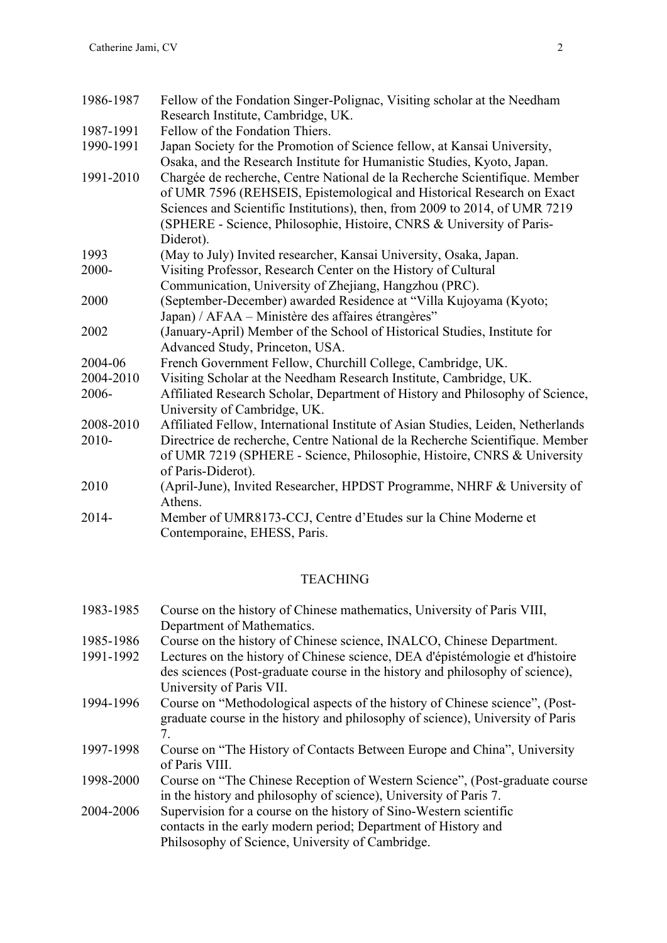| 1986-1987 | Fellow of the Fondation Singer-Polignac, Visiting scholar at the Needham                                      |
|-----------|---------------------------------------------------------------------------------------------------------------|
|           | Research Institute, Cambridge, UK.                                                                            |
| 1987-1991 | Fellow of the Fondation Thiers.                                                                               |
| 1990-1991 | Japan Society for the Promotion of Science fellow, at Kansai University,                                      |
|           | Osaka, and the Research Institute for Humanistic Studies, Kyoto, Japan.                                       |
| 1991-2010 | Chargée de recherche, Centre National de la Recherche Scientifique. Member                                    |
|           | of UMR 7596 (REHSEIS, Epistemological and Historical Research on Exact                                        |
|           | Sciences and Scientific Institutions), then, from 2009 to 2014, of UMR 7219                                   |
|           | (SPHERE - Science, Philosophie, Histoire, CNRS & University of Paris-                                         |
|           | Diderot).                                                                                                     |
| 1993      | (May to July) Invited researcher, Kansai University, Osaka, Japan.                                            |
| 2000-     | Visiting Professor, Research Center on the History of Cultural                                                |
|           | Communication, University of Zhejiang, Hangzhou (PRC).                                                        |
| 2000      | (September-December) awarded Residence at "Villa Kujoyama (Kyoto;                                             |
|           | Japan) / AFAA – Ministère des affaires étrangères"                                                            |
| 2002      | (January-April) Member of the School of Historical Studies, Institute for                                     |
|           | Advanced Study, Princeton, USA.                                                                               |
| 2004-06   | French Government Fellow, Churchill College, Cambridge, UK.                                                   |
| 2004-2010 | Visiting Scholar at the Needham Research Institute, Cambridge, UK.                                            |
| 2006-     | Affiliated Research Scholar, Department of History and Philosophy of Science,<br>University of Cambridge, UK. |
| 2008-2010 | Affiliated Fellow, International Institute of Asian Studies, Leiden, Netherlands                              |
| 2010-     | Directrice de recherche, Centre National de la Recherche Scientifique. Member                                 |
|           | of UMR 7219 (SPHERE - Science, Philosophie, Histoire, CNRS & University                                       |
|           | of Paris-Diderot).                                                                                            |
| 2010      | (April-June), Invited Researcher, HPDST Programme, NHRF & University of                                       |
|           | Athens.                                                                                                       |
| 2014-     | Member of UMR8173-CCJ, Centre d'Etudes sur la Chine Moderne et                                                |
|           | Contemporaine, EHESS, Paris.                                                                                  |
|           |                                                                                                               |

# TEACHING

| 1983-1985 | Course on the history of Chinese mathematics, University of Paris VIII,<br>Department of Mathematics.                                                                                      |
|-----------|--------------------------------------------------------------------------------------------------------------------------------------------------------------------------------------------|
| 1985-1986 | Course on the history of Chinese science, INALCO, Chinese Department.                                                                                                                      |
| 1991-1992 | Lectures on the history of Chinese science, DEA d'épistémologie et d'histoire<br>des sciences (Post-graduate course in the history and philosophy of science),<br>University of Paris VII. |
| 1994-1996 | Course on "Methodological aspects of the history of Chinese science", (Post-<br>graduate course in the history and philosophy of science), University of Paris                             |
| 1997-1998 | Course on "The History of Contacts Between Europe and China", University<br>of Paris VIII.                                                                                                 |
| 1998-2000 | Course on "The Chinese Reception of Western Science", (Post-graduate course<br>in the history and philosophy of science), University of Paris 7.                                           |
| 2004-2006 | Supervision for a course on the history of Sino-Western scientific<br>contacts in the early modern period; Department of History and<br>Philsosophy of Science, University of Cambridge.   |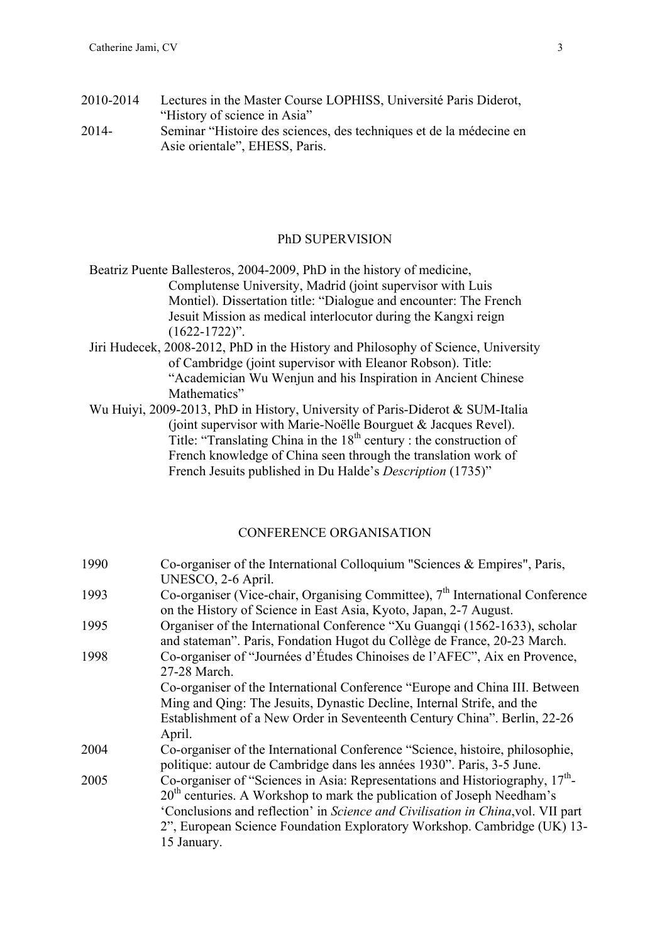- 2010-2014 Lectures in the Master Course LOPHISS, Université Paris Diderot, "History of science in Asia"
- 2014- Seminar "Histoire des sciences, des techniques et de la médecine en Asie orientale", EHESS, Paris.

#### PhD SUPERVISION

- Beatriz Puente Ballesteros, 2004-2009, PhD in the history of medicine, Complutense University, Madrid (joint supervisor with Luis Montiel). Dissertation title: "Dialogue and encounter: The French Jesuit Mission as medical interlocutor during the Kangxi reign (1622-1722)".
- Jiri Hudecek, 2008-2012, PhD in the History and Philosophy of Science, University of Cambridge (joint supervisor with Eleanor Robson). Title: "Academician Wu Wenjun and his Inspiration in Ancient Chinese Mathematics"
- Wu Huiyi, 2009-2013, PhD in History, University of Paris-Diderot & SUM-Italia (joint supervisor with Marie-Noëlle Bourguet & Jacques Revel). Title: "Translating China in the  $18<sup>th</sup>$  century : the construction of French knowledge of China seen through the translation work of French Jesuits published in Du Halde's *Description* (1735)"

#### CONFERENCE ORGANISATION

| 1990 | Co-organiser of the International Colloquium "Sciences & Empires", Paris,<br>UNESCO, 2-6 April.                                                                                                                                                                                                                                       |
|------|---------------------------------------------------------------------------------------------------------------------------------------------------------------------------------------------------------------------------------------------------------------------------------------------------------------------------------------|
| 1993 | Co-organiser (Vice-chair, Organising Committee), $7th$ International Conference<br>on the History of Science in East Asia, Kyoto, Japan, 2-7 August.                                                                                                                                                                                  |
| 1995 | Organiser of the International Conference "Xu Guangqi (1562-1633), scholar<br>and stateman". Paris, Fondation Hugot du Collège de France, 20-23 March.                                                                                                                                                                                |
| 1998 | Co-organiser of "Journées d'Études Chinoises de l'AFEC", Aix en Provence,<br>27-28 March.                                                                                                                                                                                                                                             |
|      | Co-organiser of the International Conference "Europe and China III. Between<br>Ming and Qing: The Jesuits, Dynastic Decline, Internal Strife, and the                                                                                                                                                                                 |
|      | Establishment of a New Order in Seventeenth Century China". Berlin, 22-26<br>April.                                                                                                                                                                                                                                                   |
| 2004 | Co-organiser of the International Conference "Science, histoire, philosophie,<br>politique: autour de Cambridge dans les années 1930". Paris, 3-5 June.                                                                                                                                                                               |
| 2005 | Co-organiser of "Sciences in Asia: Representations and Historiography, 17 <sup>th</sup> -<br>$20th$ centuries. A Workshop to mark the publication of Joseph Needham's<br>'Conclusions and reflection' in Science and Civilisation in China, vol. VII part<br>2", European Science Foundation Exploratory Workshop. Cambridge (UK) 13- |
|      | 15 January.                                                                                                                                                                                                                                                                                                                           |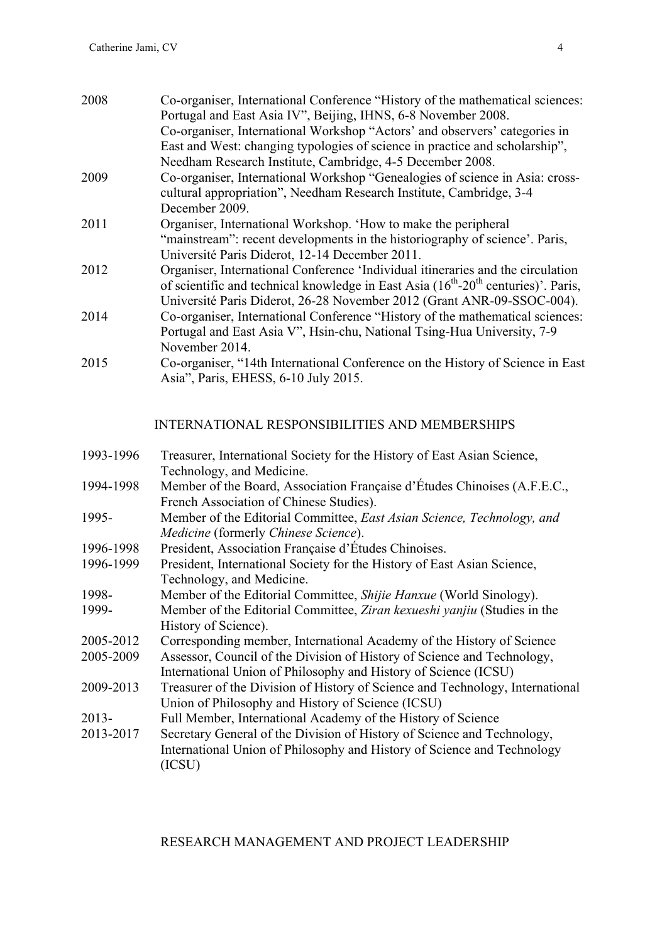| 2008      | Co-organiser, International Conference "History of the mathematical sciences:<br>Portugal and East Asia IV", Beijing, IHNS, 6-8 November 2008.                                                                                                                          |
|-----------|-------------------------------------------------------------------------------------------------------------------------------------------------------------------------------------------------------------------------------------------------------------------------|
|           | Co-organiser, International Workshop "Actors' and observers' categories in<br>East and West: changing typologies of science in practice and scholarship",<br>Needham Research Institute, Cambridge, 4-5 December 2008.                                                  |
| 2009      | Co-organiser, International Workshop "Genealogies of science in Asia: cross-<br>cultural appropriation", Needham Research Institute, Cambridge, 3-4<br>December 2009.                                                                                                   |
| 2011      | Organiser, International Workshop. 'How to make the peripheral<br>"mainstream": recent developments in the historiography of science'. Paris,<br>Université Paris Diderot, 12-14 December 2011.                                                                         |
| 2012      | Organiser, International Conference 'Individual itineraries and the circulation<br>of scientific and technical knowledge in East Asia (16 <sup>th</sup> -20 <sup>th</sup> centuries)'. Paris,<br>Université Paris Diderot, 26-28 November 2012 (Grant ANR-09-SSOC-004). |
| 2014      | Co-organiser, International Conference "History of the mathematical sciences:<br>Portugal and East Asia V", Hsin-chu, National Tsing-Hua University, 7-9<br>November 2014.                                                                                              |
| 2015      | Co-organiser, "14th International Conference on the History of Science in East<br>Asia", Paris, EHESS, 6-10 July 2015.                                                                                                                                                  |
|           | <b>INTERNATIONAL RESPONSIBILITIES AND MEMBERSHIPS</b>                                                                                                                                                                                                                   |
| 1993-1996 | Treasurer, International Society for the History of East Asian Science,<br>Technology, and Medicine.                                                                                                                                                                    |
| 1994-1998 | Member of the Board, Association Française d'Études Chinoises (A.F.E.C.,<br>French Association of Chinese Studies).                                                                                                                                                     |
| 1995-     | Member of the Editorial Committee, East Asian Science, Technology, and<br>Medicine (formerly Chinese Science).                                                                                                                                                          |
| 1996-1998 | President, Association Française d'Études Chinoises.                                                                                                                                                                                                                    |
| 1996-1999 | President, International Society for the History of East Asian Science,<br>Technology, and Medicine.                                                                                                                                                                    |
| 1998-     | Member of the Editorial Committee, Shijie Hanxue (World Sinology).                                                                                                                                                                                                      |
| 1999-     | Member of the Editorial Committee, Ziran kexueshi yanjiu (Studies in the<br>History of Science).                                                                                                                                                                        |
| 2005-2012 | Corresponding member, International Academy of the History of Science                                                                                                                                                                                                   |
| 2005-2009 | Assessor, Council of the Division of History of Science and Technology,<br>International Union of Philosophy and History of Science (ICSU)                                                                                                                              |
| 2009-2013 | Treasurer of the Division of History of Science and Technology, International<br>Union of Philosophy and History of Science (ICSU)                                                                                                                                      |
| $2013 -$  | Full Member, International Academy of the History of Science                                                                                                                                                                                                            |
| 2013-2017 | Secretary General of the Division of History of Science and Technology,<br>International Union of Philosophy and History of Science and Technology<br>(ICSU)                                                                                                            |

RESEARCH MANAGEMENT AND PROJECT LEADERSHIP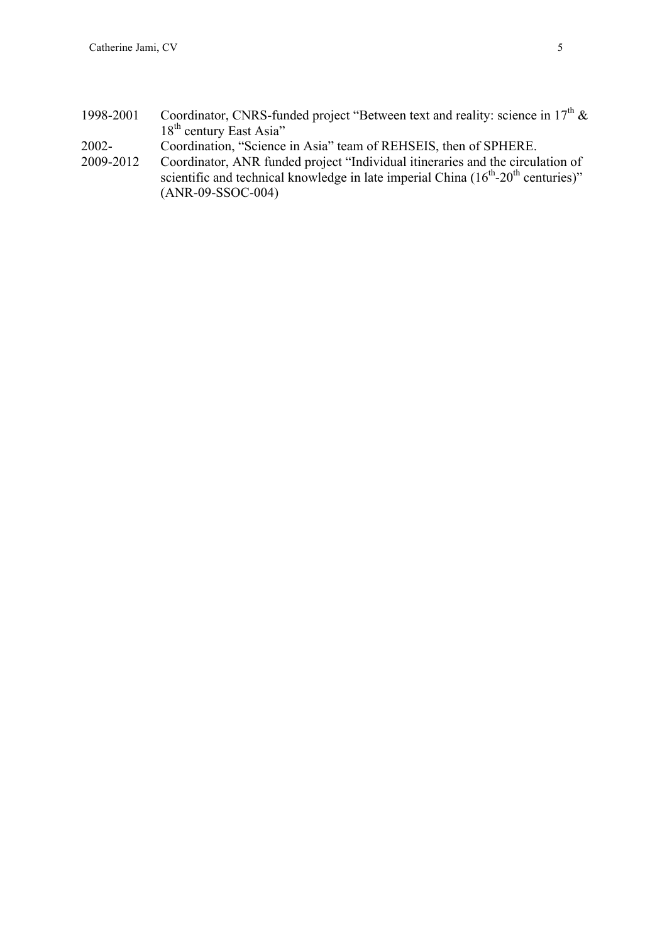- 1998-2001 Coordinator, CNRS-funded project "Between text and reality: science in  $17<sup>th</sup>$  & 18<sup>th</sup> century East Asia"
- 2002- Coordination, "Science in Asia" team of REHSEIS, then of SPHERE.
- 2009-2012 Coordinator, ANR funded project "Individual itineraries and the circulation of scientific and technical knowledge in late imperial China  $(16<sup>th</sup>-20<sup>th</sup>$  centuries)" (ANR-09-SSOC-004)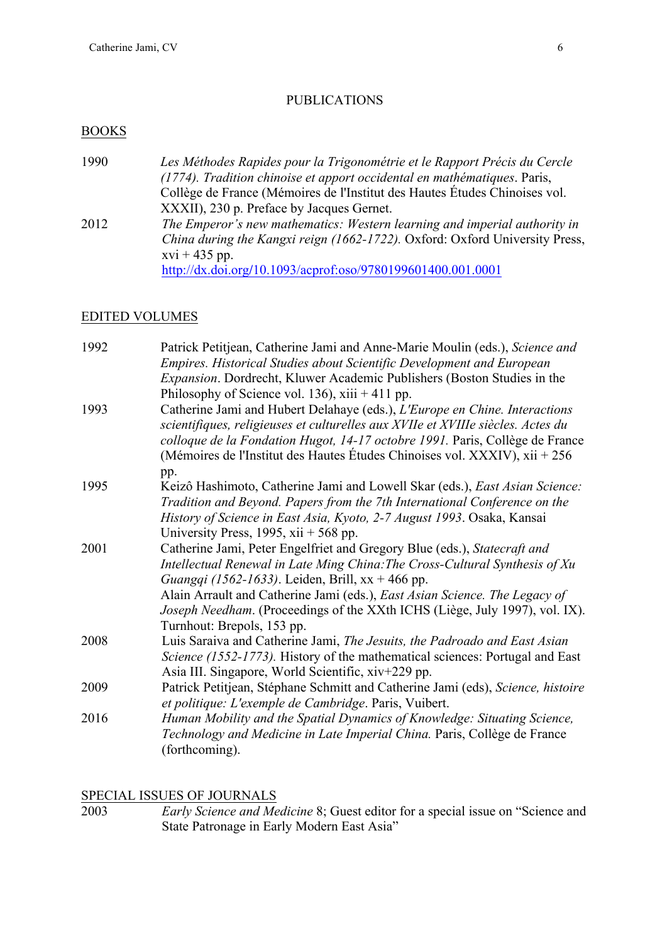# PUBLICATIONS

#### BOOKS

- 1990 *Les Méthodes Rapides pour la Trigonométrie et le Rapport Précis du Cercle (1774). Tradition chinoise et apport occidental en mathématiques*. Paris, Collège de France (Mémoires de l'Institut des Hautes Études Chinoises vol. XXXII), 230 p. Preface by Jacques Gernet.
- 2012 *The Emperor's new mathematics: Western learning and imperial authority in China during the Kangxi reign (1662-1722).* Oxford: Oxford University Press,  $xvi + 435$  pp. http://dx.doi.org**/**10.1093/acprof:oso/9780199601400.001.0001

# EDITED VOLUMES

| 1992 | Patrick Petitjean, Catherine Jami and Anne-Marie Moulin (eds.), Science and<br>Empires. Historical Studies about Scientific Development and European<br>Expansion. Dordrecht, Kluwer Academic Publishers (Boston Studies in the<br>Philosophy of Science vol. 136), $xiii + 411$ pp.                                                                                                                     |
|------|----------------------------------------------------------------------------------------------------------------------------------------------------------------------------------------------------------------------------------------------------------------------------------------------------------------------------------------------------------------------------------------------------------|
| 1993 | Catherine Jami and Hubert Delahaye (eds.), L'Europe en Chine. Interactions<br>scientifiques, religieuses et culturelles aux XVIIe et XVIIIe siècles. Actes du<br>colloque de la Fondation Hugot, 14-17 octobre 1991. Paris, Collège de France<br>(Mémoires de l'Institut des Hautes Études Chinoises vol. $XXXIV$ ), $xii + 256$                                                                         |
| 1995 | pp.<br>Keizô Hashimoto, Catherine Jami and Lowell Skar (eds.), East Asian Science:<br>Tradition and Beyond. Papers from the 7th International Conference on the<br>History of Science in East Asia, Kyoto, 2-7 August 1993. Osaka, Kansai<br>University Press, 1995, $xii + 568$ pp.                                                                                                                     |
| 2001 | Catherine Jami, Peter Engelfriet and Gregory Blue (eds.), Statecraft and<br>Intellectual Renewal in Late Ming China: The Cross-Cultural Synthesis of Xu<br>Guangqi (1562-1633). Leiden, Brill, $xx + 466$ pp.<br>Alain Arrault and Catherine Jami (eds.), East Asian Science. The Legacy of<br>Joseph Needham. (Proceedings of the XXth ICHS (Liège, July 1997), vol. IX).<br>Turnhout: Brepols, 153 pp. |
| 2008 | Luis Saraiva and Catherine Jami, The Jesuits, the Padroado and East Asian<br>Science (1552-1773). History of the mathematical sciences: Portugal and East<br>Asia III. Singapore, World Scientific, xiv+229 pp.                                                                                                                                                                                          |
| 2009 | Patrick Petitjean, Stéphane Schmitt and Catherine Jami (eds), Science, histoire<br>et politique: L'exemple de Cambridge. Paris, Vuibert.                                                                                                                                                                                                                                                                 |
| 2016 | Human Mobility and the Spatial Dynamics of Knowledge: Situating Science,<br>Technology and Medicine in Late Imperial China. Paris, Collège de France<br>(forthcoming).                                                                                                                                                                                                                                   |

# SPECIAL ISSUES OF JOURNALS

2003 *Early Science and Medicine* 8; Guest editor for a special issue on "Science and State Patronage in Early Modern East Asia"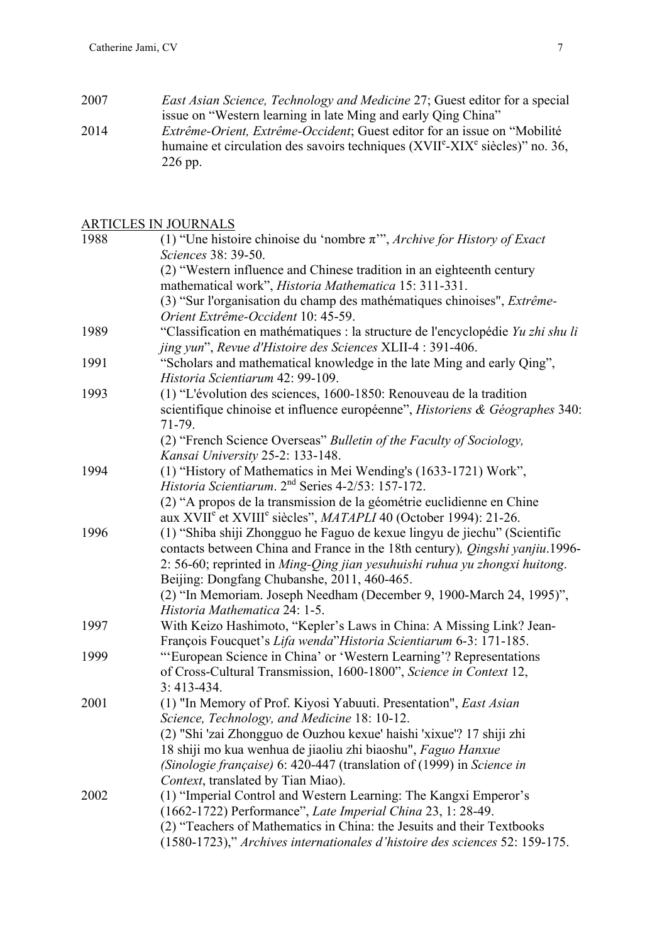| 2007 | East Asian Science, Technology and Medicine 27; Guest editor for a special       |
|------|----------------------------------------------------------------------------------|
|      | issue on "Western learning in late Ming and early Qing China"                    |
| 2014 | <i>Extrême-Orient, Extrême-Occident;</i> Guest editor for an issue on "Mobilité" |

humaine et circulation des savoirs techniques (XVII<sup>e</sup>-XIX<sup>e</sup> siècles)" no. 36, 226 pp.

# ARTICLES IN JOURNALS

| 1988 | (1) "Une histoire chinoise du 'nombre $\pi$ "", Archive for History of Exact<br>Sciences 38: 39-50.        |
|------|------------------------------------------------------------------------------------------------------------|
|      | (2) "Western influence and Chinese tradition in an eighteenth century                                      |
|      | mathematical work", Historia Mathematica 15: 311-331.                                                      |
|      | (3) "Sur l'organisation du champ des mathématiques chinoises", Extrême-                                    |
|      | Orient Extrême-Occident 10: 45-59.                                                                         |
| 1989 | "Classification en mathématiques : la structure de l'encyclopédie Yu zhi shu li                            |
|      | jing yun", Revue d'Histoire des Sciences XLII-4 : 391-406.                                                 |
| 1991 | "Scholars and mathematical knowledge in the late Ming and early Qing",<br>Historia Scientiarum 42: 99-109. |
| 1993 | (1) "L'évolution des sciences, 1600-1850: Renouveau de la tradition                                        |
|      | scientifique chinoise et influence européenne", Historiens & Géographes 340:<br>71-79.                     |
|      | (2) "French Science Overseas" Bulletin of the Faculty of Sociology,<br>Kansai University 25-2: 133-148.    |
| 1994 | (1) "History of Mathematics in Mei Wending's (1633-1721) Work",                                            |
|      | Historia Scientiarum. 2 <sup>nd</sup> Series 4-2/53: 157-172.                                              |
|      | (2) "A propos de la transmission de la géométrie euclidienne en Chine                                      |
|      | aux XVII <sup>e</sup> et XVIII <sup>e</sup> siècles", <i>MATAPLI</i> 40 (October 1994): 21-26.             |
| 1996 | (1) "Shiba shiji Zhongguo he Faguo de kexue lingyu de jiechu" (Scientific                                  |
|      | contacts between China and France in the 18th century), <i>Qingshi yanjiu</i> .1996-                       |
|      | 2: 56-60; reprinted in Ming-Qing jian yesuhuishi ruhua yu zhongxi huitong.                                 |
|      | Beijing: Dongfang Chubanshe, 2011, 460-465.                                                                |
|      | (2) "In Memoriam. Joseph Needham (December 9, 1900-March 24, 1995)",                                       |
|      | Historia Mathematica 24: 1-5.                                                                              |
| 1997 | With Keizo Hashimoto, "Kepler's Laws in China: A Missing Link? Jean-                                       |
|      | François Foucquet's Lifa wenda" Historia Scientiarum 6-3: 171-185.                                         |
| 1999 | "European Science in China' or 'Western Learning'? Representations                                         |
|      | of Cross-Cultural Transmission, 1600-1800", Science in Context 12,                                         |
|      | $3:413-434.$                                                                                               |
| 2001 | (1) "In Memory of Prof. Kiyosi Yabuuti. Presentation", East Asian                                          |
|      | Science, Technology, and Medicine 18: 10-12.                                                               |
|      | (2) "Shi 'zai Zhongguo de Ouzhou kexue' haishi 'xixue'? 17 shiji zhi                                       |
|      | 18 shiji mo kua wenhua de jiaoliu zhi biaoshu", Faguo Hanxue                                               |
|      | (Sinologie française) 6: 420-447 (translation of (1999) in Science in                                      |
|      | Context, translated by Tian Miao).                                                                         |
| 2002 | (1) "Imperial Control and Western Learning: The Kangxi Emperor's                                           |
|      | (1662-1722) Performance", Late Imperial China 23, 1: 28-49.                                                |
|      | (2) "Teachers of Mathematics in China: the Jesuits and their Textbooks                                     |
|      | (1580-1723)," Archives internationales d'histoire des sciences 52: 159-175.                                |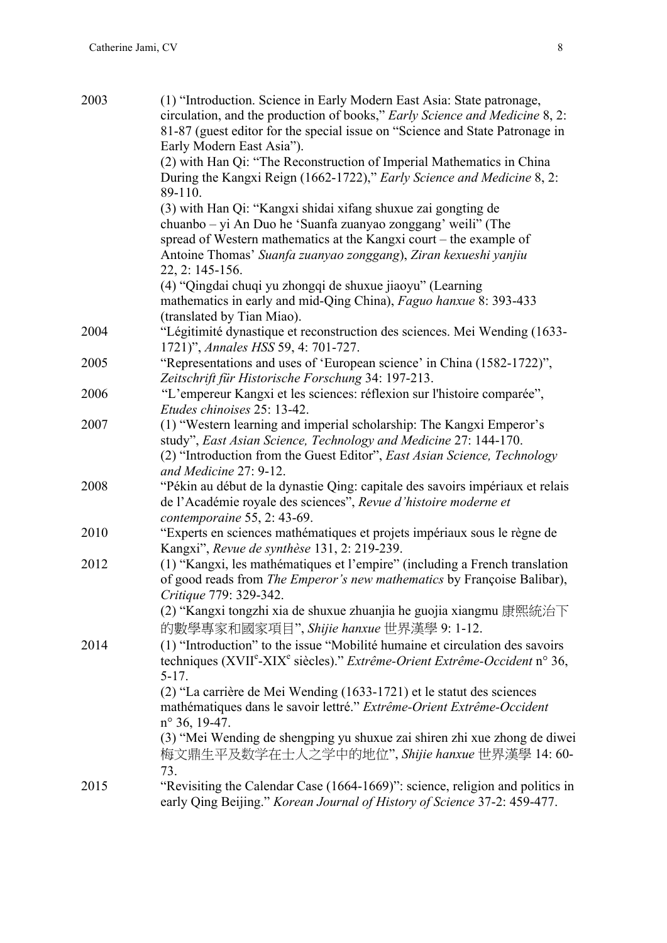| 2003 | (1) "Introduction. Science in Early Modern East Asia: State patronage,<br>circulation, and the production of books," Early Science and Medicine 8, 2: |
|------|-------------------------------------------------------------------------------------------------------------------------------------------------------|
|      | 81-87 (guest editor for the special issue on "Science and State Patronage in                                                                          |
|      | Early Modern East Asia").                                                                                                                             |
|      | (2) with Han Qi: "The Reconstruction of Imperial Mathematics in China                                                                                 |
|      | During the Kangxi Reign (1662-1722)," Early Science and Medicine 8, 2:                                                                                |
|      | 89-110.                                                                                                                                               |
|      | (3) with Han Qi: "Kangxi shidai xifang shuxue zai gongting de                                                                                         |
|      | chuanbo – yi An Duo he 'Suanfa zuanyao zonggang' weili" (The                                                                                          |
|      | spread of Western mathematics at the Kangxi court – the example of                                                                                    |
|      | Antoine Thomas' Suanfa zuanyao zonggang), Ziran kexueshi yanjiu                                                                                       |
|      | 22, 2: 145-156.                                                                                                                                       |
|      | (4) "Qingdai chuqi yu zhongqi de shuxue jiaoyu" (Learning                                                                                             |
|      | mathematics in early and mid-Qing China), Faguo hanxue 8: 393-433                                                                                     |
|      | (translated by Tian Miao).                                                                                                                            |
| 2004 | "Légitimité dynastique et reconstruction des sciences. Mei Wending (1633-<br>1721)", Annales HSS 59, 4: 701-727.                                      |
| 2005 | "Representations and uses of 'European science' in China (1582-1722)",<br>Zeitschrift für Historische Forschung 34: 197-213.                          |
| 2006 | "L'empereur Kangxi et les sciences: réflexion sur l'histoire comparée",                                                                               |
|      | Etudes chinoises 25: 13-42.                                                                                                                           |
| 2007 | (1) "Western learning and imperial scholarship: The Kangxi Emperor's<br>study", East Asian Science, Technology and Medicine 27: 144-170.              |
|      | (2) "Introduction from the Guest Editor", East Asian Science, Technology                                                                              |
|      | and Medicine 27: 9-12.                                                                                                                                |
| 2008 | "Pékin au début de la dynastie Qing: capitale des savoirs impériaux et relais                                                                         |
|      | de l'Académie royale des sciences", Revue d'histoire moderne et                                                                                       |
|      | contemporaine 55, 2: 43-69.                                                                                                                           |
| 2010 | "Experts en sciences mathématiques et projets impériaux sous le règne de<br>Kangxi", Revue de synthèse 131, 2: 219-239.                               |
| 2012 | (1) "Kangxi, les mathématiques et l'empire" (including a French translation                                                                           |
|      | of good reads from <i>The Emperor's new mathematics</i> by Françoise Balibar),<br>Critique 779: 329-342.                                              |
|      | (2) "Kangxi tongzhi xia de shuxue zhuanjia he guojia xiangmu 康熙統治下                                                                                    |
|      | 的數學專家和國家項目", Shijie hanxue 世界漢學 9: 1-12.                                                                                                              |
| 2014 | (1) "Introduction" to the issue "Mobilité humaine et circulation des savoirs                                                                          |
|      | techniques (XVII <sup>e</sup> -XIX <sup>e</sup> siècles)." Extrême-Orient Extrême-Occident n° 36,                                                     |
|      | $5 - 17$ .                                                                                                                                            |
|      | (2) "La carrière de Mei Wending (1633-1721) et le statut des sciences                                                                                 |
|      | mathématiques dans le savoir lettré." Extrême-Orient Extrême-Occident                                                                                 |
|      | $n^{\circ}$ 36, 19-47.                                                                                                                                |
|      | (3) "Mei Wending de shengping yu shuxue zai shiren zhi xue zhong de diwei                                                                             |
|      | 梅文鼎生平及数学在士人之学中的地位", Shijie hanxue 世界漢學 14:60-<br>73.                                                                                                  |
| 2015 | "Revisiting the Calendar Case (1664-1669)": science, religion and politics in                                                                         |
|      | early Qing Beijing." Korean Journal of History of Science 37-2: 459-477.                                                                              |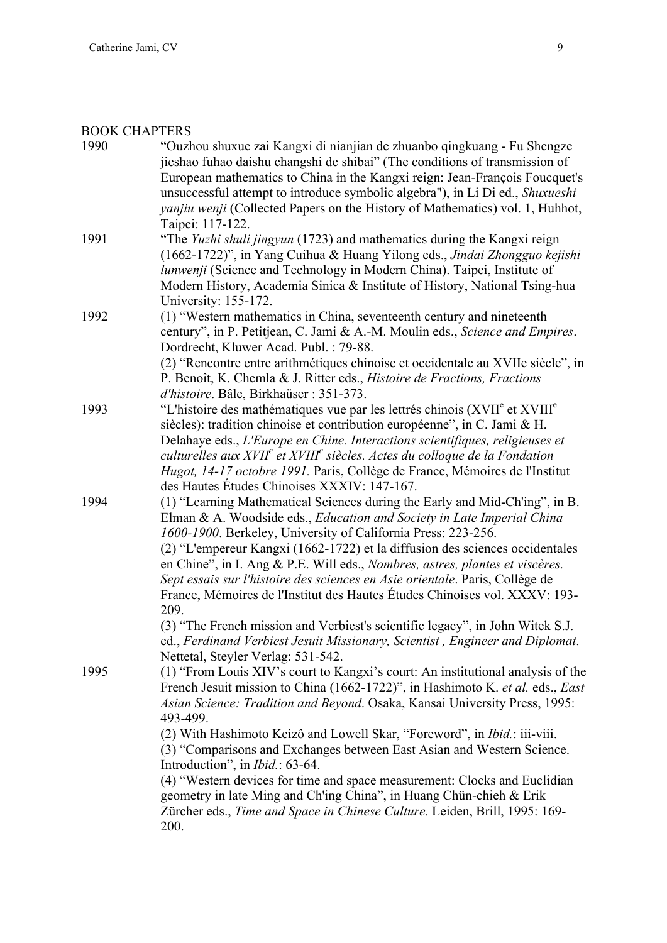# **BOOK CHAPTERS**

| <b>DOOIT CHILL LETTE</b> |                                                                                                                                                                                                                                                                                                                                                                                                                                                                                                                                                                                                                                                                                                                                                       |
|--------------------------|-------------------------------------------------------------------------------------------------------------------------------------------------------------------------------------------------------------------------------------------------------------------------------------------------------------------------------------------------------------------------------------------------------------------------------------------------------------------------------------------------------------------------------------------------------------------------------------------------------------------------------------------------------------------------------------------------------------------------------------------------------|
| 1990                     | "Ouzhou shuxue zai Kangxi di nianjian de zhuanbo qingkuang - Fu Shengze<br>jieshao fuhao daishu changshi de shibai" (The conditions of transmission of<br>European mathematics to China in the Kangxi reign: Jean-François Foucquet's<br>unsuccessful attempt to introduce symbolic algebra"), in Li Di ed., Shuxueshi<br><i>yanjiu wenji</i> (Collected Papers on the History of Mathematics) vol. 1, Huhhot,<br>Taipei: 117-122.                                                                                                                                                                                                                                                                                                                    |
| 1991                     | "The Yuzhi shuli jingyun (1723) and mathematics during the Kangxi reign<br>(1662-1722)", in Yang Cuihua & Huang Yilong eds., Jindai Zhongguo kejishi<br>lunwenji (Science and Technology in Modern China). Taipei, Institute of<br>Modern History, Academia Sinica & Institute of History, National Tsing-hua<br>University: 155-172.                                                                                                                                                                                                                                                                                                                                                                                                                 |
| 1992                     | (1) "Western mathematics in China, seventeenth century and nineteenth<br>century", in P. Petitjean, C. Jami & A.-M. Moulin eds., Science and Empires.<br>Dordrecht, Kluwer Acad. Publ.: 79-88.<br>(2) "Rencontre entre arithmétiques chinoise et occidentale au XVIIe siècle", in<br>P. Benoît, K. Chemla & J. Ritter eds., Histoire de Fractions, Fractions<br>d'histoire. Bâle, Birkhaüser : 351-373.                                                                                                                                                                                                                                                                                                                                               |
| 1993                     | "L'histoire des mathématiques vue par les lettrés chinois (XVII <sup>e</sup> et XVIII <sup>e</sup> )<br>siècles): tradition chinoise et contribution européenne", in C. Jami & H.<br>Delahaye eds., L'Europe en Chine. Interactions scientifiques, religieuses et<br>culturelles aux $XVII^e$ et $XVIII^e$ siècles. Actes du colloque de la Fondation<br>Hugot, 14-17 octobre 1991. Paris, Collège de France, Mémoires de l'Institut<br>des Hautes Études Chinoises XXXIV: 147-167.                                                                                                                                                                                                                                                                   |
| 1994                     | (1) "Learning Mathematical Sciences during the Early and Mid-Ch'ing", in B.<br>Elman & A. Woodside eds., Education and Society in Late Imperial China<br>1600-1900. Berkeley, University of California Press: 223-256.<br>(2) "L'empereur Kangxi (1662-1722) et la diffusion des sciences occidentales<br>en Chine", in I. Ang & P.E. Will eds., Nombres, astres, plantes et viscères.<br>Sept essais sur l'histoire des sciences en Asie orientale. Paris, Collège de<br>France, Mémoires de l'Institut des Hautes Études Chinoises vol. XXXV: 193-<br>209.<br>(3) "The French mission and Verbiest's scientific legacy", in John Witek S.J.<br>ed., Ferdinand Verbiest Jesuit Missionary, Scientist, Engineer and Diplomat.                         |
| 1995                     | Nettetal, Steyler Verlag: 531-542.<br>(1) "From Louis XIV's court to Kangxi's court: An institutional analysis of the<br>French Jesuit mission to China (1662-1722)", in Hashimoto K. et al. eds., East<br>Asian Science: Tradition and Beyond. Osaka, Kansai University Press, 1995:<br>493-499.<br>(2) With Hashimoto Keizô and Lowell Skar, "Foreword", in <i>Ibid.</i> : iii-viii.<br>(3) "Comparisons and Exchanges between East Asian and Western Science.<br>Introduction", in <i>Ibid.</i> : 63-64.<br>(4) "Western devices for time and space measurement: Clocks and Euclidian<br>geometry in late Ming and Ch'ing China", in Huang Chün-chieh & Erik<br>Zürcher eds., Time and Space in Chinese Culture. Leiden, Brill, 1995: 169-<br>200. |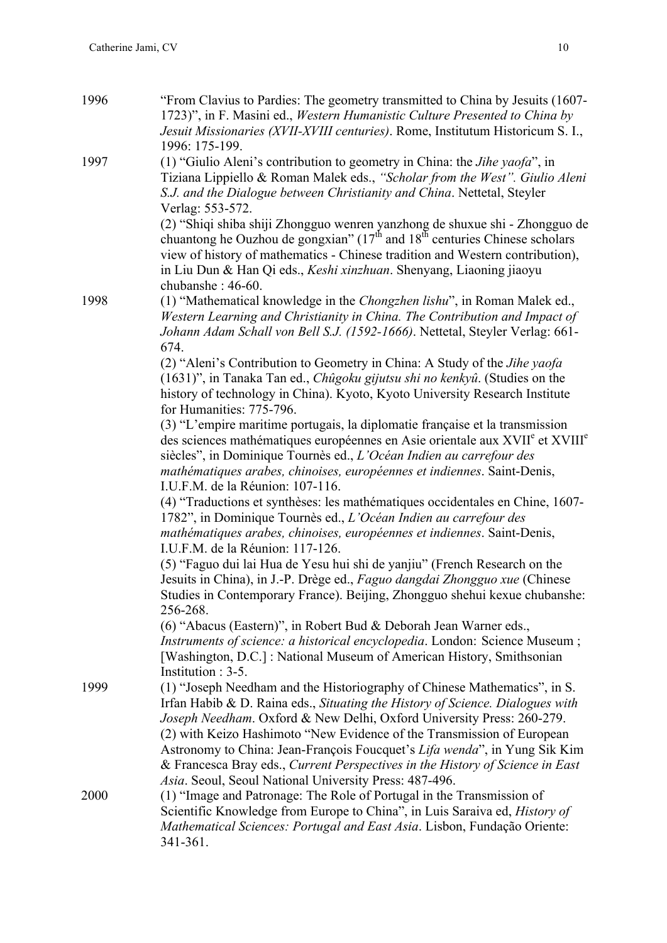| 1996 | "From Clavius to Pardies: The geometry transmitted to China by Jesuits (1607-<br>1723)", in F. Masini ed., Western Humanistic Culture Presented to China by                                                                                                                                                                                                                                                                                                                 |
|------|-----------------------------------------------------------------------------------------------------------------------------------------------------------------------------------------------------------------------------------------------------------------------------------------------------------------------------------------------------------------------------------------------------------------------------------------------------------------------------|
|      | Jesuit Missionaries (XVII-XVIII centuries). Rome, Institutum Historicum S. I.,<br>1996: 175-199.                                                                                                                                                                                                                                                                                                                                                                            |
| 1997 | (1) "Giulio Aleni's contribution to geometry in China: the <i>Jihe yaofa</i> ", in<br>Tiziana Lippiello & Roman Malek eds., "Scholar from the West". Giulio Aleni<br>S.J. and the Dialogue between Christianity and China. Nettetal, Steyler<br>Verlag: 553-572.                                                                                                                                                                                                            |
|      | (2) "Shiqi shiba shiji Zhongguo wenren yanzhong de shuxue shi - Zhongguo de<br>chuantong he Ouzhou de gongxian" $(17th$ and $18th$ centuries Chinese scholars<br>view of history of mathematics - Chinese tradition and Western contribution),<br>in Liu Dun & Han Qi eds., Keshi xinzhuan. Shenyang, Liaoning jiaoyu                                                                                                                                                       |
| 1998 | chubanshe: 46-60.<br>(1) "Mathematical knowledge in the <i>Chongzhen lishu</i> ", in Roman Malek ed.,<br>Western Learning and Christianity in China. The Contribution and Impact of<br>Johann Adam Schall von Bell S.J. (1592-1666). Nettetal, Steyler Verlag: 661-<br>674.                                                                                                                                                                                                 |
|      | (2) "Aleni's Contribution to Geometry in China: A Study of the <i>Jihe yaofa</i><br>(1631)", in Tanaka Tan ed., Chûgoku gijutsu shi no kenkyû. (Studies on the<br>history of technology in China). Kyoto, Kyoto University Research Institute<br>for Humanities: 775-796.                                                                                                                                                                                                   |
|      | (3) "L'empire maritime portugais, la diplomatie française et la transmission<br>des sciences mathématiques européennes en Asie orientale aux XVII <sup>e</sup> et XVIII <sup>e</sup><br>siècles", in Dominique Tournès ed., L'Océan Indien au carrefour des<br>mathématiques arabes, chinoises, européennes et indiennes. Saint-Denis,                                                                                                                                      |
|      | I.U.F.M. de la Réunion: 107-116.<br>(4) "Traductions et synthèses: les mathématiques occidentales en Chine, 1607-<br>1782", in Dominique Tournès ed., L'Océan Indien au carrefour des<br>mathématiques arabes, chinoises, européennes et indiennes. Saint-Denis,                                                                                                                                                                                                            |
|      | I.U.F.M. de la Réunion: 117-126.                                                                                                                                                                                                                                                                                                                                                                                                                                            |
|      | (5) "Faguo dui lai Hua de Yesu hui shi de yanjiu" (French Research on the<br>Jesuits in China), in J.-P. Drège ed., Faguo dangdai Zhongguo xue (Chinese<br>Studies in Contemporary France). Beijing, Zhongguo shehui kexue chubanshe:<br>256-268.                                                                                                                                                                                                                           |
|      | (6) "Abacus (Eastern)", in Robert Bud & Deborah Jean Warner eds.,<br>Instruments of science: a historical encyclopedia. London: Science Museum;<br>[Washington, D.C.]: National Museum of American History, Smithsonian<br>Institution : 3-5.                                                                                                                                                                                                                               |
| 1999 | (1) "Joseph Needham and the Historiography of Chinese Mathematics", in S.<br>Irfan Habib & D. Raina eds., Situating the History of Science. Dialogues with<br>Joseph Needham. Oxford & New Delhi, Oxford University Press: 260-279.<br>(2) with Keizo Hashimoto "New Evidence of the Transmission of European<br>Astronomy to China: Jean-François Foucquet's Lifa wenda", in Yung Sik Kim<br>& Francesca Bray eds., Current Perspectives in the History of Science in East |
| 2000 | Asia. Seoul, Seoul National University Press: 487-496.<br>(1) "Image and Patronage: The Role of Portugal in the Transmission of<br>Scientific Knowledge from Europe to China", in Luis Saraiva ed, <i>History of</i><br>Mathematical Sciences: Portugal and East Asia. Lisbon, Fundação Oriente:<br>341-361.                                                                                                                                                                |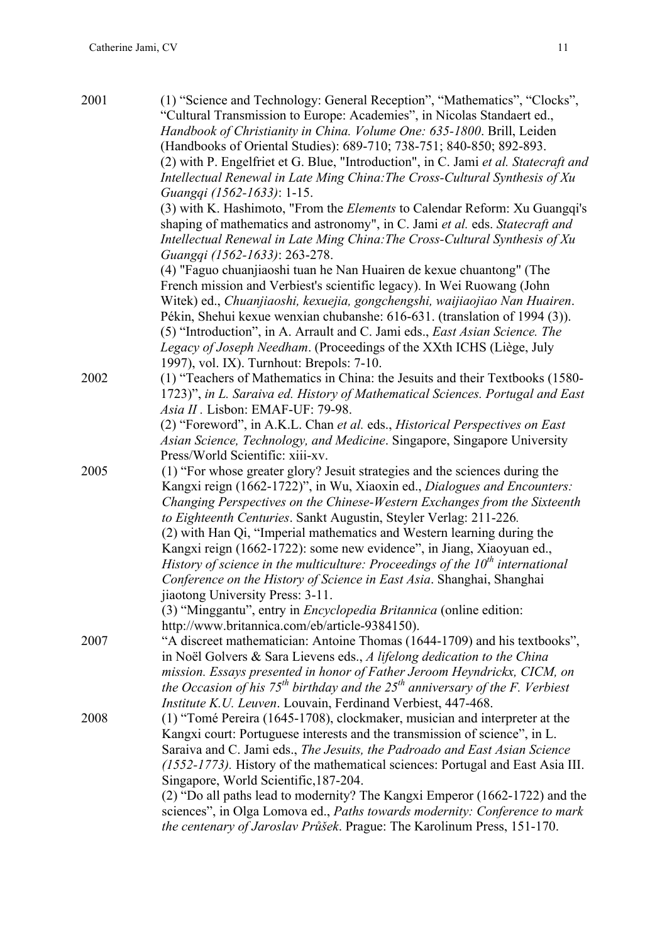| 2001 | (1) "Science and Technology: General Reception", "Mathematics", "Clocks",                                                                            |
|------|------------------------------------------------------------------------------------------------------------------------------------------------------|
|      | "Cultural Transmission to Europe: Academies", in Nicolas Standaert ed.,                                                                              |
|      | Handbook of Christianity in China. Volume One: 635-1800. Brill, Leiden                                                                               |
|      | (Handbooks of Oriental Studies): 689-710; 738-751; 840-850; 892-893.                                                                                 |
|      | (2) with P. Engelfriet et G. Blue, "Introduction", in C. Jami et al. Statecraft and                                                                  |
|      | Intellectual Renewal in Late Ming China: The Cross-Cultural Synthesis of Xu                                                                          |
|      | Guangqi (1562-1633): 1-15.                                                                                                                           |
|      | (3) with K. Hashimoto, "From the Elements to Calendar Reform: Xu Guangqi's                                                                           |
|      | shaping of mathematics and astronomy", in C. Jami et al. eds. Statecraft and                                                                         |
|      | Intellectual Renewal in Late Ming China: The Cross-Cultural Synthesis of Xu                                                                          |
|      | Guangqi (1562-1633): 263-278.                                                                                                                        |
|      | (4) "Faguo chuanjiaoshi tuan he Nan Huairen de kexue chuantong" (The                                                                                 |
|      | French mission and Verbiest's scientific legacy). In Wei Ruowang (John                                                                               |
|      | Witek) ed., Chuanjiaoshi, kexuejia, gongchengshi, waijiaojiao Nan Huairen.                                                                           |
|      | Pékin, Shehui kexue wenxian chubanshe: 616-631. (translation of 1994 (3)).                                                                           |
|      | (5) "Introduction", in A. Arrault and C. Jami eds., East Asian Science. The                                                                          |
|      | Legacy of Joseph Needham. (Proceedings of the XXth ICHS (Liège, July                                                                                 |
|      | 1997), vol. IX). Turnhout: Brepols: 7-10.                                                                                                            |
| 2002 | (1) "Teachers of Mathematics in China: the Jesuits and their Textbooks (1580-                                                                        |
|      | 1723)", in L. Saraiva ed. History of Mathematical Sciences. Portugal and East                                                                        |
|      | Asia II . Lisbon: EMAF-UF: 79-98.                                                                                                                    |
|      | (2) "Foreword", in A.K.L. Chan et al. eds., Historical Perspectives on East                                                                          |
|      | Asian Science, Technology, and Medicine. Singapore, Singapore University                                                                             |
|      | Press/World Scientific: xiii-xv.                                                                                                                     |
| 2005 | (1) "For whose greater glory? Jesuit strategies and the sciences during the                                                                          |
|      | Kangxi reign (1662-1722)", in Wu, Xiaoxin ed., Dialogues and Encounters:                                                                             |
|      | Changing Perspectives on the Chinese-Western Exchanges from the Sixteenth                                                                            |
|      | to Eighteenth Centuries. Sankt Augustin, Steyler Verlag: 211-226.                                                                                    |
|      | (2) with Han Qi, "Imperial mathematics and Western learning during the                                                                               |
|      | Kangxi reign (1662-1722): some new evidence", in Jiang, Xiaoyuan ed.,                                                                                |
|      | History of science in the multiculture: Proceedings of the $10^{th}$ international                                                                   |
|      | Conference on the History of Science in East Asia. Shanghai, Shanghai                                                                                |
|      | jiaotong University Press: 3-11.                                                                                                                     |
|      | (3) "Minggantu", entry in <i>Encyclopedia Britannica</i> (online edition:                                                                            |
|      | http://www.britannica.com/eb/article-9384150).                                                                                                       |
| 2007 | "A discreet mathematician: Antoine Thomas (1644-1709) and his textbooks",<br>in Noël Golvers & Sara Lievens eds., A lifelong dedication to the China |
|      | mission. Essays presented in honor of Father Jeroom Heyndrickx, CICM, on                                                                             |
|      | the Occasion of his $75^{th}$ birthday and the $25^{th}$ anniversary of the F. Verbiest                                                              |
|      | Institute K.U. Leuven. Louvain, Ferdinand Verbiest, 447-468.                                                                                         |
|      | (1) "Tomé Pereira (1645-1708), clockmaker, musician and interpreter at the                                                                           |
| 2008 | Kangxi court: Portuguese interests and the transmission of science", in L.                                                                           |
|      | Saraiva and C. Jami eds., The Jesuits, the Padroado and East Asian Science                                                                           |
|      | (1552-1773). History of the mathematical sciences: Portugal and East Asia III.                                                                       |
|      | Singapore, World Scientific, 187-204.                                                                                                                |
|      | (2) "Do all paths lead to modernity? The Kangxi Emperor (1662-1722) and the                                                                          |
|      | sciences", in Olga Lomova ed., Paths towards modernity: Conference to mark                                                                           |
|      | the centenary of Jaroslav Průšek. Prague: The Karolinum Press, 151-170.                                                                              |
|      |                                                                                                                                                      |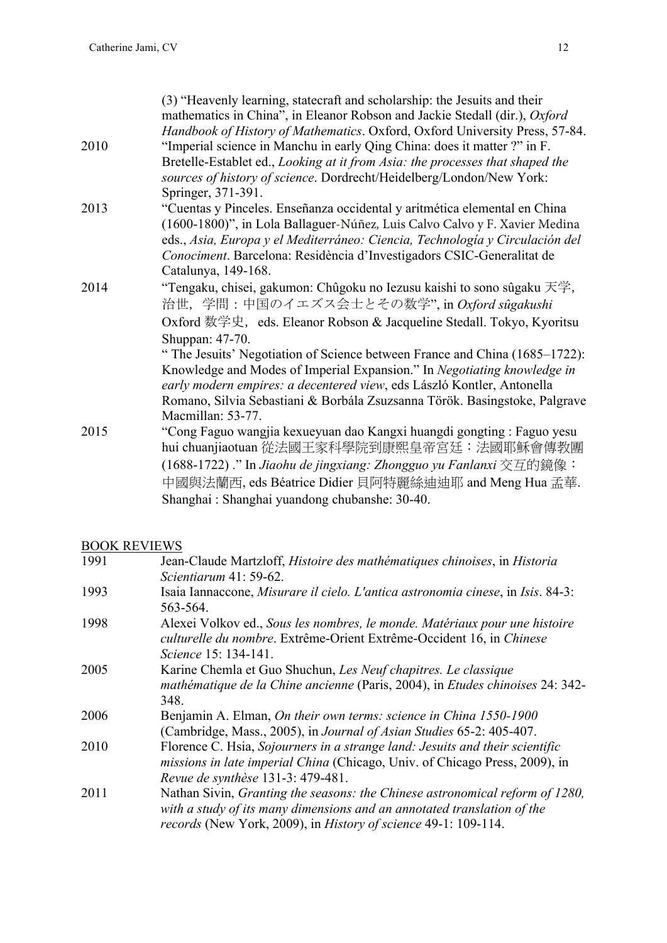|      | (3) "Heavenly learning, statecraft and scholarship: the Jesuits and their<br>mathematics in China", in Eleanor Robson and Jackie Stedall (dir.), Oxford |
|------|---------------------------------------------------------------------------------------------------------------------------------------------------------|
|      | Handbook of History of Mathematics. Oxford, Oxford University Press, 57-84.                                                                             |
| 2010 | "Imperial science in Manchu in early Qing China: does it matter ?" in F.                                                                                |
|      |                                                                                                                                                         |
|      | Bretelle-Establet ed., Looking at it from Asia: the processes that shaped the                                                                           |
|      | sources of history of science. Dordrecht/Heidelberg/London/New York:                                                                                    |
|      | Springer, 371-391.                                                                                                                                      |
| 2013 | "Cuentas y Pinceles. Enseñanza occidental y aritmética elemental en China                                                                               |
|      | (1600-1800)", in Lola Ballaguer-Núñez, Luis Calvo Calvo y F. Xavier Medina                                                                              |
|      | eds., Asia, Europa y el Mediterráneo: Ciencia, Technología y Circulación del                                                                            |
|      | Conociment. Barcelona: Residència d'Investigadors CSIC-Generalitat de                                                                                   |
|      | Catalunya, 149-168.                                                                                                                                     |
| 2014 | "Tengaku, chisei, gakumon: Chûgoku no Iezusu kaishi to sono sûgaku 天学,                                                                                  |
|      | 治世、学問:中国のイエズス会士とその数学", in Oxford sûgakushi                                                                                                              |
|      | Oxford 数学史, eds. Eleanor Robson & Jacqueline Stedall. Tokyo, Kyoritsu                                                                                   |
|      | Shuppan: 47-70.                                                                                                                                         |
|      | "The Jesuits' Negotiation of Science between France and China (1685–1722):                                                                              |
|      | Knowledge and Modes of Imperial Expansion." In Negotiating knowledge in<br>early modern empires: a decentered view, eds László Kontler, Antonella       |
|      | Romano, Silvia Sebastiani & Borbála Zsuzsanna Török. Basingstoke, Palgrave                                                                              |
|      | Macmillan: 53-77.                                                                                                                                       |
| 2015 | "Cong Faguo wangjia kexueyuan dao Kangxi huangdi gongting : Faguo yesu                                                                                  |
|      | hui chuanjiaotuan 從法國王家科學院到康熙皇帝宮廷:法國耶穌會傳教團                                                                                                              |
|      | (1688-1722)." In Jiaohu de jingxiang: Zhongguo yu Fanlanxi 交互的鏡像:                                                                                       |
|      | 中國與法蘭西, eds Béatrice Didier 貝阿特麗絲迪迪耶 and Meng Hua 孟華.                                                                                                   |
|      | Shanghai: Shanghai yuandong chubanshe: 30-40.                                                                                                           |

# BOOK REVIEWS

| 1991 | Jean-Claude Martzloff, Histoire des mathématiques chinoises, in Historia        |
|------|---------------------------------------------------------------------------------|
|      | Scientiarum 41: 59-62.                                                          |
| 1993 | Isaia Iannaccone, Misurare il cielo. L'antica astronomia cinese, in Isis. 84-3: |
|      | 563-564.                                                                        |
| 1998 | Alexei Volkov ed., Sous les nombres, le monde. Matériaux pour une histoire      |
|      | culturelle du nombre. Extrême-Orient Extrême-Occident 16, in Chinese            |
|      | <i>Science</i> 15: 134-141.                                                     |
| 2005 | Karine Chemla et Guo Shuchun, Les Neuf chapitres. Le classique                  |
|      | mathématique de la Chine ancienne (Paris, 2004), in Etudes chinoises 24: 342-   |
|      | 348.                                                                            |
| 2006 | Benjamin A. Elman, On their own terms: science in China 1550-1900               |
|      | (Cambridge, Mass., 2005), in Journal of Asian Studies 65-2: 405-407.            |
| 2010 | Florence C. Hsia, Sojourners in a strange land: Jesuits and their scientific    |
|      | missions in late imperial China (Chicago, Univ. of Chicago Press, 2009), in     |
|      | Revue de synthèse 131-3: 479-481.                                               |
| 2011 | Nathan Sivin, Granting the seasons: the Chinese astronomical reform of 1280,    |
|      | with a study of its many dimensions and an annotated translation of the         |
|      | records (New York, 2009), in History of science 49-1: 109-114.                  |
|      |                                                                                 |